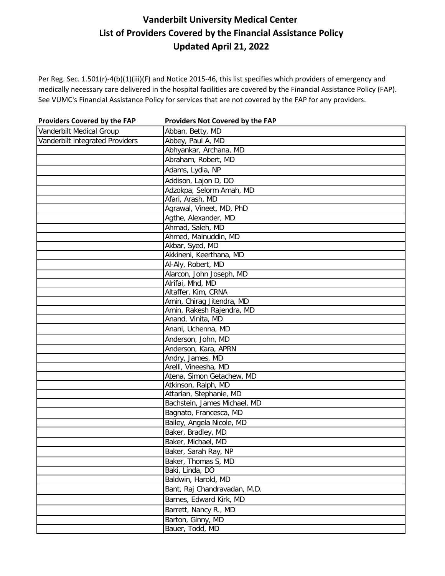| <b>Providers Covered by the FAP</b> | Providers Not Covered by the FAP |
|-------------------------------------|----------------------------------|
| Vanderbilt Medical Group            | Abban, Betty, MD                 |
| Vanderbilt integrated Providers     | Abbey, Paul A, MD                |
|                                     | Abhyankar, Archana, MD           |
|                                     | Abraham, Robert, MD              |
|                                     | Adams, Lydia, NP                 |
|                                     | Addison, Lajon D, DO             |
|                                     | Adzokpa, Selorm Amah, MD         |
|                                     | Afari, Arash, MD                 |
|                                     | Agrawal, Vineet, MD, PhD         |
|                                     | Agthe, Alexander, MD             |
|                                     | Ahmad, Saleh, MD                 |
|                                     | Ahmed, Mainuddin, MD             |
|                                     | Akbar, Syed, MD                  |
|                                     | Akkineni, Keerthana, MD          |
|                                     | Al-Aly, Robert, MD               |
|                                     | Alarcon, John Joseph, MD         |
|                                     | Alrifai, Mhd, MD                 |
|                                     | Altaffer, Kim, CRNA              |
|                                     | Amin, Chirag Jitendra, MD        |
|                                     | Amin, Rakesh Rajendra, MD        |
|                                     | Anand, Vinita, MD                |
|                                     | Anani, Uchenna, MD               |
|                                     | Anderson, John, MD               |
|                                     | Anderson, Kara, APRN             |
|                                     | Andry, James, MD                 |
|                                     | Arelli, Vineesha, MD             |
|                                     | Atena, Simon Getachew, MD        |
|                                     | Atkinson, Ralph, MD              |
|                                     | Attarian, Stephanie, MD          |
|                                     | Bachstein, James Michael, MD     |
|                                     | Bagnato, Francesca, MD           |
|                                     | Bailey, Angela Nicole, MD        |
|                                     | Baker, Bradley, MD               |
|                                     | Baker, Michael, MD               |
|                                     | Baker, Sarah Ray, NP             |
|                                     | Baker, Thomas S, MD              |
|                                     | Baki, Linda, DO                  |
|                                     | Baldwin, Harold, MD              |
|                                     | Bant, Raj Chandravadan, M.D.     |
|                                     | Barnes, Edward Kirk, MD          |
|                                     | Barrett, Nancy R., MD            |
|                                     | Barton, Ginny, MD                |
|                                     | Bauer, Todd, MD                  |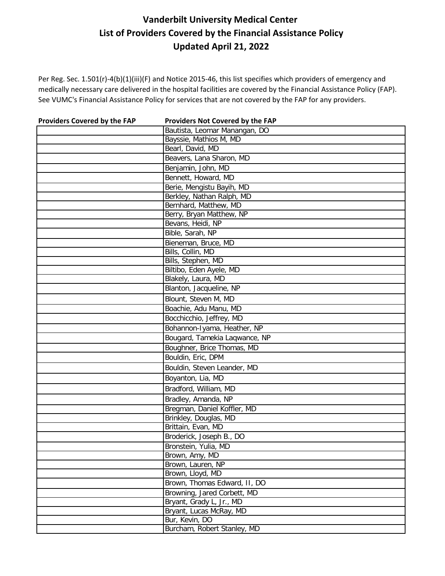| <b>Providers Covered by the FAP</b> | Providers Not Covered by the FAP |
|-------------------------------------|----------------------------------|
|                                     | Bautista, Leomar Manangan, DO    |
|                                     | Bayssie, Mathios M, MD           |
|                                     | Bearl, David, MD                 |
|                                     | Beavers, Lana Sharon, MD         |
|                                     | Benjamin, John, MD               |
|                                     | Bennett, Howard, MD              |
|                                     | Berie, Mengistu Bayih, MD        |
|                                     | Berkley, Nathan Ralph, MD        |
|                                     | Bernhard, Matthew, MD            |
|                                     | Berry, Bryan Matthew, NP         |
|                                     | Bevans, Heidi, NP                |
|                                     | Bible, Sarah, NP                 |
|                                     | Bieneman, Bruce, MD              |
|                                     | Bills, Collin, MD                |
|                                     | Bills, Stephen, MD               |
|                                     | Biltibo, Eden Ayele, MD          |
|                                     | Blakely, Laura, MD               |
|                                     | Blanton, Jacqueline, NP          |
|                                     | Blount, Steven M, MD             |
|                                     | Boachie, Adu Manu, MD            |
|                                     | Bocchicchio, Jeffrey, MD         |
|                                     | Bohannon-Iyama, Heather, NP      |
|                                     | Bougard, Tamekia Laqwance, NP    |
|                                     | Boughner, Brice Thomas, MD       |
|                                     | Bouldin, Eric, DPM               |
|                                     | Bouldin, Steven Leander, MD      |
|                                     | Boyanton, Lia, MD                |
|                                     | Bradford, William, MD            |
|                                     | Bradley, Amanda, NP              |
|                                     | Bregman, Daniel Koffler, MD      |
|                                     | Brinkley, Douglas, MD            |
|                                     | Brittain, Evan, MD               |
|                                     | Broderick, Joseph B., DO         |
|                                     | Bronstein, Yulia, MD             |
|                                     | Brown, Amy, MD                   |
|                                     | Brown, Lauren, NP                |
|                                     | Brown, Lloyd, MD                 |
|                                     | Brown, Thomas Edward, II, DO     |
|                                     | Browning, Jared Corbett, MD      |
|                                     | Bryant, Grady L, Jr., MD         |
|                                     | Bryant, Lucas McRay, MD          |
|                                     | Bur, Kevin, DO                   |
|                                     | Burcham, Robert Stanley, MD      |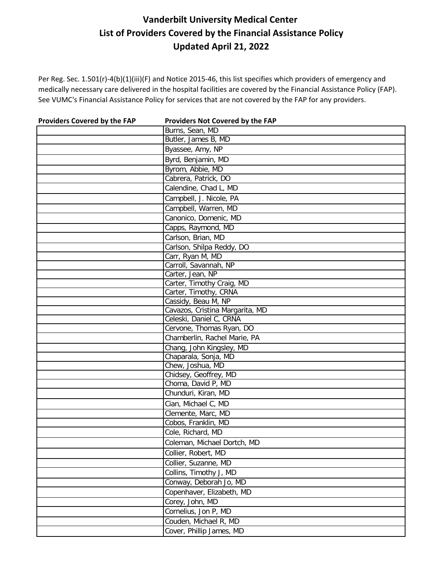| <b>Providers Covered by the FAP</b> | Providers Not Covered by the FAP |
|-------------------------------------|----------------------------------|
|                                     | Burns, Sean, MD                  |
|                                     | Butler, James B, MD              |
|                                     | Byassee, Amy, NP                 |
|                                     | Byrd, Benjamin, MD               |
|                                     | Byrom, Abbie, MD                 |
|                                     | Cabrera, Patrick, DO             |
|                                     | Calendine, Chad L, MD            |
|                                     | Campbell, J. Nicole, PA          |
|                                     | Campbell, Warren, MD             |
|                                     | Canonico, Domenic, MD            |
|                                     | Capps, Raymond, MD               |
|                                     | Carlson, Brian, MD               |
|                                     | Carlson, Shilpa Reddy, DO        |
|                                     | Carr, Ryan M, MD                 |
|                                     | Carroll, Savannah, NP            |
|                                     | Carter, Jean, NP                 |
|                                     | Carter, Timothy Craig, MD        |
|                                     | Carter, Timothy, CRNA            |
|                                     | Cassidy, Beau M, NP              |
|                                     | Cavazos, Cristina Margarita, MD  |
|                                     | Celeski, Daniel C, CRNA          |
|                                     | Cervone, Thomas Ryan, DO         |
|                                     | Chamberlin, Rachel Marie, PA     |
|                                     | Chang, John Kingsley, MD         |
|                                     | Chaparala, Sonja, MD             |
|                                     | Chew, Joshua, MD                 |
|                                     | Chidsey, Geoffrey, MD            |
|                                     | Choma, David P, MD               |
|                                     | Chunduri, Kiran, MD              |
|                                     | Cian, Michael C, MD              |
|                                     | Clemente, Marc, MD               |
|                                     | Cobos, Franklin, MD              |
|                                     | Cole, Richard, MD                |
|                                     | Coleman, Michael Dortch, MD      |
|                                     | Collier, Robert, MD              |
|                                     | Collier, Suzanne, MD             |
|                                     | Collins, Timothy J, MD           |
|                                     | Conway, Deborah Jo, MD           |
|                                     | Copenhaver, Elizabeth, MD        |
|                                     | Corey, John, MD                  |
|                                     | Cornelius, Jon P, MD             |
|                                     | Couden, Michael R, MD            |
|                                     | Cover, Phillip James, MD         |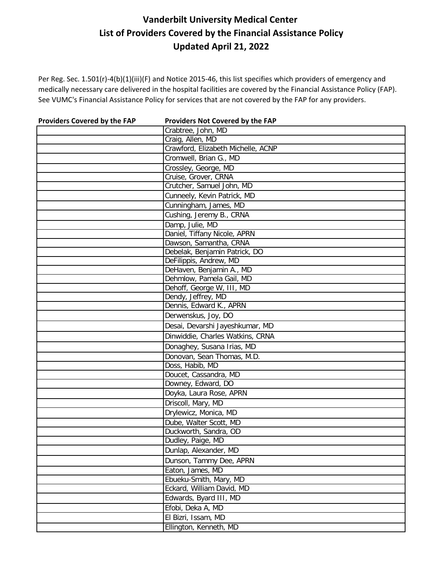| <b>Providers Covered by the FAP</b> | Providers Not Covered by the FAP   |
|-------------------------------------|------------------------------------|
|                                     | Crabtree, John, MD                 |
|                                     | Craig, Allen, MD                   |
|                                     | Crawford, Elizabeth Michelle, ACNP |
|                                     | Cromwell, Brian G., MD             |
|                                     | Crossley, George, MD               |
|                                     | Cruise, Grover, CRNA               |
|                                     | Crutcher, Samuel John, MD          |
|                                     | Cunneely, Kevin Patrick, MD        |
|                                     | Cunningham, James, MD              |
|                                     | Cushing, Jeremy B., CRNA           |
|                                     | Damp, Julie, MD                    |
|                                     | Daniel, Tiffany Nicole, APRN       |
|                                     | Dawson, Samantha, CRNA             |
|                                     | Debelak, Benjamin Patrick, DO      |
|                                     | DeFilippis, Andrew, MD             |
|                                     | DeHaven, Benjamin A., MD           |
|                                     | Dehmlow, Pamela Gail, MD           |
|                                     | Dehoff, George W, III, MD          |
|                                     | Dendy, Jeffrey, MD                 |
|                                     | Dennis, Edward K., APRN            |
|                                     | Derwenskus, Joy, DO                |
|                                     | Desai, Devarshi Jayeshkumar, MD    |
|                                     | Dinwiddie, Charles Watkins, CRNA   |
|                                     | Donaghey, Susana Irias, MD         |
|                                     | Donovan, Sean Thomas, M.D.         |
|                                     | Doss, Habib, MD                    |
|                                     | Doucet, Cassandra, MD              |
|                                     | Downey, Edward, DO                 |
|                                     | Doyka, Laura Rose, APRN            |
|                                     | Driscoll, Mary, MD                 |
|                                     | Drylewicz, Monica, MD              |
|                                     | Dube, Walter Scott, MD             |
|                                     | Duckworth, Sandra, OD              |
|                                     | Dudley, Paige, MD                  |
|                                     | Dunlap, Alexander, MD              |
|                                     | Dunson, Tammy Dee, APRN            |
|                                     | Eaton, James, MD                   |
|                                     | Ebueku-Smith, Mary, MD             |
|                                     | Eckard, William David, MD          |
|                                     | Edwards, Byard III, MD             |
|                                     | Efobi, Deka A, MD                  |
|                                     | El Bizri, Issam, MD                |
|                                     | Ellington, Kenneth, MD             |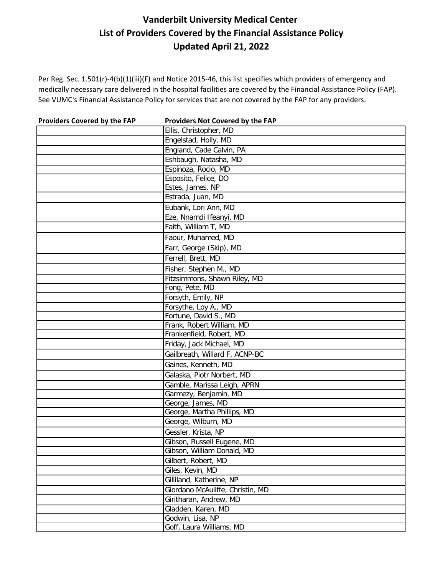| <b>Providers Covered by the FAP</b> | Providers Not Covered by the FAP |
|-------------------------------------|----------------------------------|
|                                     | Ellis, Christopher, MD           |
|                                     | Engelstad, Holly, MD             |
|                                     | England, Cade Calvin, PA         |
|                                     | Eshbaugh, Natasha, MD            |
|                                     | Espinoza, Rocio, MD              |
|                                     | Esposito, Felice, DO             |
|                                     | Estes, James, NP                 |
|                                     | Estrada, Juan, MD                |
|                                     | Eubank, Lori Ann, MD             |
|                                     | Eze, Nnamdi Ifeanyi, MD          |
|                                     | Faith, William T, MD             |
|                                     | Faour, Muhamed, MD               |
|                                     | Farr, George (Skip), MD          |
|                                     | Ferrell, Brett, MD               |
|                                     | Fisher, Stephen M., MD           |
|                                     | Fitzsimmons, Shawn Riley, MD     |
|                                     | Fong, Pete, MD                   |
|                                     | Forsyth, Emily, NP               |
|                                     | Forsythe, Loy A., MD             |
|                                     | Fortune, David S., MD            |
|                                     | Frank, Robert William, MD        |
|                                     | Frankenfield, Robert, MD         |
|                                     | Friday, Jack Michael, MD         |
|                                     | Gailbreath, Willard F, ACNP-BC   |
|                                     | Gaines, Kenneth, MD              |
|                                     | Galaska, Piotr Norbert, MD       |
|                                     | Gamble, Marissa Leigh, APRN      |
|                                     | Garmezy, Benjamin, MD            |
|                                     | George, James, MD                |
|                                     | George, Martha Phillips, MD      |
|                                     | George, Wilburn, MD              |
|                                     | Gessler, Krista, NP              |
|                                     | Gibson, Russell Eugene, MD       |
|                                     | Gibson, William Donald, MD       |
|                                     | Gilbert, Robert, MD              |
|                                     | Giles, Kevin, MD                 |
|                                     | Gilliland, Katherine, NP         |
|                                     | Giordano McAuliffe, Christin, MD |
|                                     | Giritharan, Andrew, MD           |
|                                     | Gladden, Karen, MD               |
|                                     | Godwin, Lisa, NP                 |
|                                     | Goff, Laura Williams, MD         |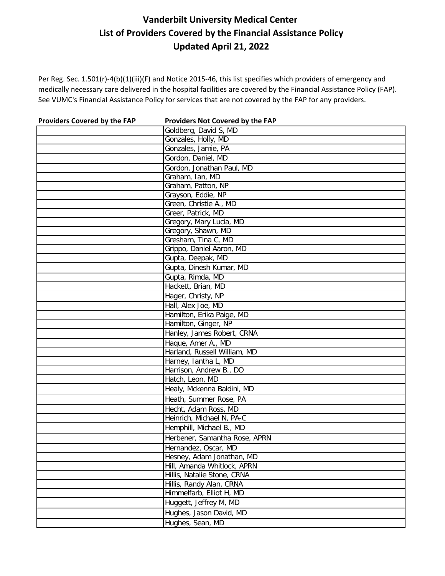| <b>Providers Covered by the FAP</b> | Providers Not Covered by the FAP |
|-------------------------------------|----------------------------------|
|                                     | Goldberg, David S, MD            |
|                                     | Gonzales, Holly, MD              |
|                                     | Gonzales, Jamie, PA              |
|                                     | Gordon, Daniel, MD               |
|                                     | Gordon, Jonathan Paul, MD        |
|                                     | Graham, Ian, MD                  |
|                                     | Graham, Patton, NP               |
|                                     | Grayson, Eddie, NP               |
|                                     | Green, Christie A., MD           |
|                                     | Greer, Patrick, MD               |
|                                     | Gregory, Mary Lucia, MD          |
|                                     | Gregory, Shawn, MD               |
|                                     | Gresham, Tina C, MD              |
|                                     | Grippo, Daniel Aaron, MD         |
|                                     | Gupta, Deepak, MD                |
|                                     | Gupta, Dinesh Kumar, MD          |
|                                     | Gupta, Rimda, MD                 |
|                                     | Hackett, Brian, MD               |
|                                     | Hager, Christy, NP               |
|                                     | Hall, Alex Joe, MD               |
|                                     | Hamilton, Erika Paige, MD        |
|                                     | Hamilton, Ginger, NP             |
|                                     | Hanley, James Robert, CRNA       |
|                                     | Haque, Amer A., MD               |
|                                     | Harland, Russell William, MD     |
|                                     | Harney, lantha L, MD             |
|                                     | Harrison, Andrew B., DO          |
|                                     | Hatch, Leon, MD                  |
|                                     | Healy, Mckenna Baldini, MD       |
|                                     | Heath, Summer Rose, PA           |
|                                     | Hecht, Adam Ross, MD             |
|                                     | Heinrich, Michael N, PA-C        |
|                                     | Hemphill, Michael B., MD         |
|                                     | Herbener, Samantha Rose, APRN    |
|                                     | Hernandez, Oscar, MD             |
|                                     | Hesney, Adam Jonathan, MD        |
|                                     | Hill, Amanda Whitlock, APRN      |
|                                     | Hillis, Natalie Stone, CRNA      |
|                                     | Hillis, Randy Alan, CRNA         |
|                                     | Himmelfarb, Elliot H, MD         |
|                                     | Huggett, Jeffrey M, MD           |
|                                     | Hughes, Jason David, MD          |
|                                     | Hughes, Sean, MD                 |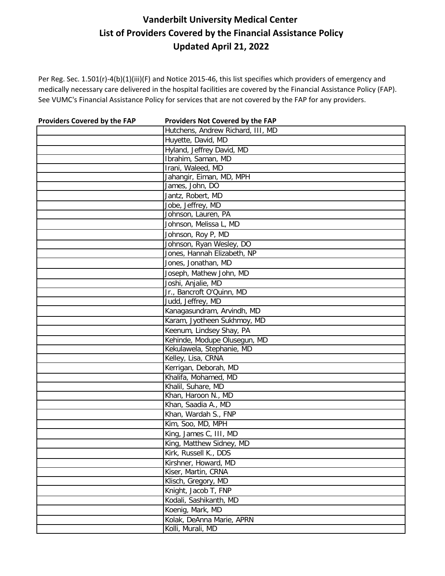| Providers Covered by the FAP | Providers Not Covered by the FAP  |
|------------------------------|-----------------------------------|
|                              | Hutchens, Andrew Richard, III, MD |
|                              | Huyette, David, MD                |
|                              | Hyland, Jeffrey David, MD         |
|                              | Ibrahim, Saman, MD                |
|                              | Irani, Waleed, MD                 |
|                              | Jahangir, Eiman, MD, MPH          |
|                              | James, John, DO                   |
|                              | Jantz, Robert, MD                 |
|                              | Jobe, Jeffrey, MD                 |
|                              | Johnson, Lauren, PA               |
|                              | Johnson, Melissa L, MD            |
|                              | Johnson, Roy P, MD                |
|                              | Johnson, Ryan Wesley, DO          |
|                              | Jones, Hannah Elizabeth, NP       |
|                              | Jones, Jonathan, MD               |
|                              | Joseph, Mathew John, MD           |
|                              | Joshi, Anjalie, MD                |
|                              | Jr., Bancroft O'Quinn, MD         |
|                              | Judd, Jeffrey, MD                 |
|                              | Kanagasundram, Arvindh, MD        |
|                              | Karam, Jyotheen Sukhmoy, MD       |
|                              | Keenum, Lindsey Shay, PA          |
|                              | Kehinde, Modupe Olusegun, MD      |
|                              | Kekulawela, Stephanie, MD         |
|                              | Kelley, Lisa, CRNA                |
|                              | Kerrigan, Deborah, MD             |
|                              | Khalifa, Mohamed, MD              |
|                              | Khalil, Suhare, MD                |
|                              | Khan, Haroon N., MD               |
|                              | Khan, Saadia A., MD               |
|                              | Khan, Wardah S., FNP              |
|                              | Kim, Soo, MD, MPH                 |
|                              | King, James C, III, MD            |
|                              | King, Matthew Sidney, MD          |
|                              | Kirk, Russell K., DDS             |
|                              | Kirshner, Howard, MD              |
|                              | Kiser, Martin, CRNA               |
|                              | Klisch, Gregory, MD               |
|                              | Knight, Jacob T, FNP              |
|                              | Kodali, Sashikanth, MD            |
|                              | Koenig, Mark, MD                  |
|                              | Kolak, DeAnna Marie, APRN         |
|                              | Kolli, Murali, MD                 |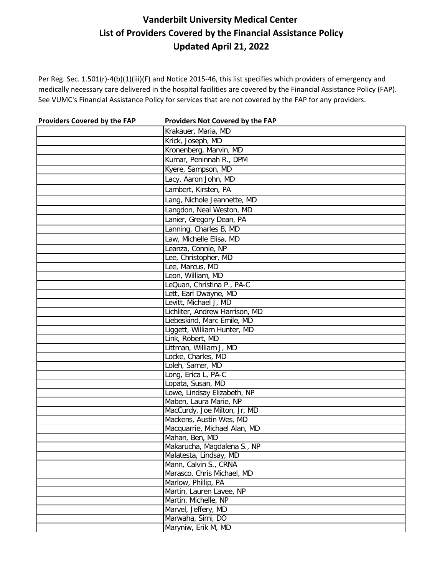| <b>Providers Covered by the FAP</b> | Providers Not Covered by the FAP                      |
|-------------------------------------|-------------------------------------------------------|
|                                     | Krakauer, Maria, MD                                   |
|                                     | Krick, Joseph, MD                                     |
|                                     | Kronenberg, Marvin, MD                                |
|                                     | Kumar, Peninnah R., DPM                               |
|                                     | Kyere, Sampson, MD                                    |
|                                     | Lacy, Aaron John, MD                                  |
|                                     | Lambert, Kirsten, PA                                  |
|                                     | Lang, Nichole Jeannette, MD                           |
|                                     | Langdon, Neal Weston, MD                              |
|                                     | Lanier, Gregory Dean, PA                              |
|                                     | Lanning, Charles B, MD                                |
|                                     | Law, Michelle Elisa, MD                               |
|                                     | Leanza, Connie, NP                                    |
|                                     | Lee, Christopher, MD                                  |
|                                     | Lee, Marcus, MD                                       |
|                                     | Leon, William, MD                                     |
|                                     | LeQuan, Christina P., PA-C                            |
|                                     | Lett, Earl Dwayne, MD                                 |
|                                     | Levitt, Michael J, MD                                 |
|                                     | Lichliter, Andrew Harrison, MD                        |
|                                     | Liebeskind, Marc Emile, MD                            |
|                                     | Liggett, William Hunter, MD                           |
|                                     | Link, Robert, MD                                      |
|                                     | Littman, William J, MD                                |
|                                     | Locke, Charles, MD                                    |
|                                     | Loleh, Samer, MD                                      |
|                                     | Long, Erica L, PA-C                                   |
|                                     | Lopata, Susan, MD                                     |
|                                     | Lowe, Lindsay Elizabeth, NP                           |
|                                     | Maben, Laura Marie, NP                                |
|                                     | MacCurdy, Joe Milton, Jr, MD                          |
|                                     | Mackens, Austin Wes, MD                               |
|                                     | Macquarrie, Michael Alan, MD<br>Mahan, Ben, MD        |
|                                     |                                                       |
|                                     | Makarucha, Magdalena S., NP<br>Malatesta, Lindsay, MD |
|                                     | Mann, Calvin S., CRNA                                 |
|                                     | Marasco, Chris Michael, MD                            |
|                                     | Marlow, Phillip, PA                                   |
|                                     | Martin, Lauren Lavee, NP                              |
|                                     | Martin, Michelle, NP                                  |
|                                     | Marvel, Jeffery, MD                                   |
|                                     | Marwaha, Simi, DO                                     |
|                                     | Maryniw, Erik M, MD                                   |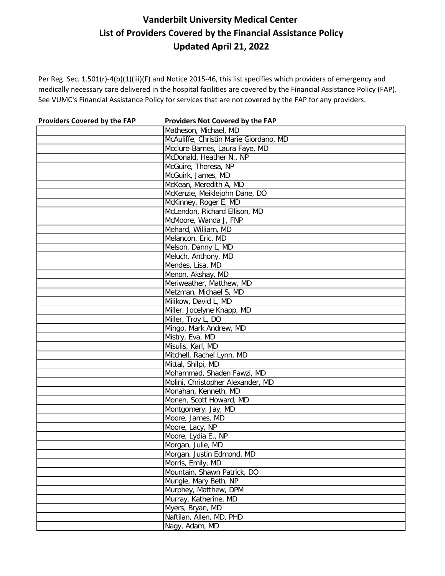| <b>Providers Covered by the FAP</b> | Providers Not Covered by the FAP       |
|-------------------------------------|----------------------------------------|
|                                     | Matheson, Michael, MD                  |
|                                     | McAuliffe, Christin Marie Giordano, MD |
|                                     | Mcclure-Barnes, Laura Faye, MD         |
|                                     | McDonald, Heather N., NP               |
|                                     | McGuire, Theresa, NP                   |
|                                     | McGuirk, James, MD                     |
|                                     | McKean, Meredith A, MD                 |
|                                     | McKenzie, Meiklejohn Dane, DO          |
|                                     | McKinney, Roger E, MD                  |
|                                     | McLendon, Richard Ellison, MD          |
|                                     | McMoore, Wanda J, FNP                  |
|                                     | Mehard, William, MD                    |
|                                     | Melancon, Eric, MD                     |
|                                     | Melson, Danny L, MD                    |
|                                     | Meluch, Anthony, MD                    |
|                                     | Mendes, Lisa, MD                       |
|                                     | Menon, Akshay, MD                      |
|                                     | Meriweather, Matthew, MD               |
|                                     | Metzman, Michael S, MD                 |
|                                     | Milikow, David L, MD                   |
|                                     | Miller, Jocelyne Knapp, MD             |
|                                     | Miller, Troy L, DO                     |
|                                     | Mingo, Mark Andrew, MD                 |
|                                     | Mistry, Eva, MD                        |
|                                     | Misulis, Karl, MD                      |
|                                     | Mitchell, Rachel Lynn, MD              |
|                                     | Mittal, Shilpi, MD                     |
|                                     | Mohammad, Shaden Fawzi, MD             |
|                                     | Molini, Christopher Alexander, MD      |
|                                     | Monahan, Kenneth, MD                   |
|                                     | Monen, Scott Howard, MD                |
|                                     | Montgomery, Jay, MD                    |
|                                     | Moore, James, MD                       |
|                                     | Moore, Lacy, NP                        |
|                                     | Moore, Lydia E., NP                    |
|                                     | Morgan, Julie, MD                      |
|                                     | Morgan, Justin Edmond, MD              |
|                                     | Morris, Emily, MD                      |
|                                     | Mountain, Shawn Patrick, DO            |
|                                     | Mungle, Mary Beth, NP                  |
|                                     | Murphey, Matthew, DPM                  |
|                                     | Murray, Katherine, MD                  |
|                                     | Myers, Bryan, MD                       |
|                                     | Naftilan, Allen, MD, PHD               |
|                                     | Nagy, Adam, MD                         |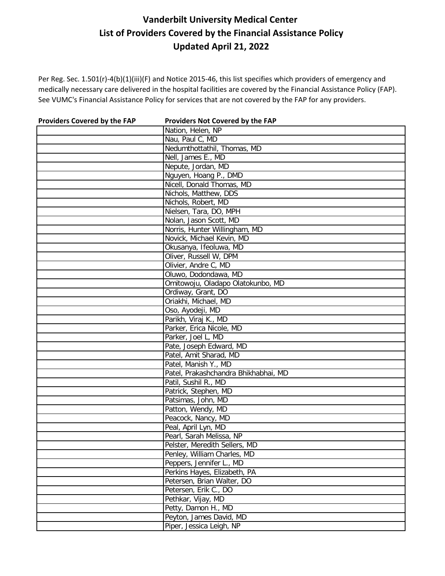| <b>Providers Covered by the FAP</b> | Providers Not Covered by the FAP     |
|-------------------------------------|--------------------------------------|
|                                     | Nation, Helen, NP                    |
|                                     | Nau, Paul C, MD                      |
|                                     | Nedumthottathil, Thomas, MD          |
|                                     | Nell, James E., MD                   |
|                                     | Nepute, Jordan, MD                   |
|                                     | Nguyen, Hoang P., DMD                |
|                                     | Nicell, Donald Thomas, MD            |
|                                     | Nichols, Matthew, DDS                |
|                                     | Nichols, Robert, MD                  |
|                                     | Nielsen, Tara, DO, MPH               |
|                                     | Nolan, Jason Scott, MD               |
|                                     | Norris, Hunter Willingham, MD        |
|                                     | Novick, Michael Kevin, MD            |
|                                     | Okusanya, Ifeoluwa, MD               |
|                                     | Oliver, Russell W, DPM               |
|                                     | Olivier, Andre C, MD                 |
|                                     | Oluwo, Dodondawa, MD                 |
|                                     | Omitowoju, Oladapo Olatokunbo, MD    |
|                                     | Ordiway, Grant, DO                   |
|                                     | Oriakhi, Michael, MD                 |
|                                     | Oso, Ayodeji, MD                     |
|                                     | Parikh, Viraj K., MD                 |
|                                     | Parker, Erica Nicole, MD             |
|                                     | Parker, Joel L, MD                   |
|                                     | Pate, Joseph Edward, MD              |
|                                     | Patel, Amit Sharad, MD               |
|                                     | Patel, Manish Y., MD                 |
|                                     | Patel, Prakashchandra Bhikhabhai, MD |
|                                     | Patil, Sushil R., MD                 |
|                                     | Patrick, Stephen, MD                 |
|                                     | Patsimas, John, MD                   |
|                                     | Patton, Wendy, MD                    |
|                                     | Peacock, Nancy, MD                   |
|                                     | Peal, April Lyn, MD                  |
|                                     | Pearl, Sarah Melissa, NP             |
|                                     | Pelster, Meredith Sellers, MD        |
|                                     | Penley, William Charles, MD          |
|                                     | Peppers, Jennifer L., MD             |
|                                     | Perkins Hayes, Elizabeth, PA         |
|                                     | Petersen, Brian Walter, DO           |
|                                     | Petersen, Erik C., DO                |
|                                     | Pethkar, Vijay, MD                   |
|                                     | Petty, Damon H., MD                  |
|                                     | Peyton, James David, MD              |
|                                     | Piper, Jessica Leigh, NP             |